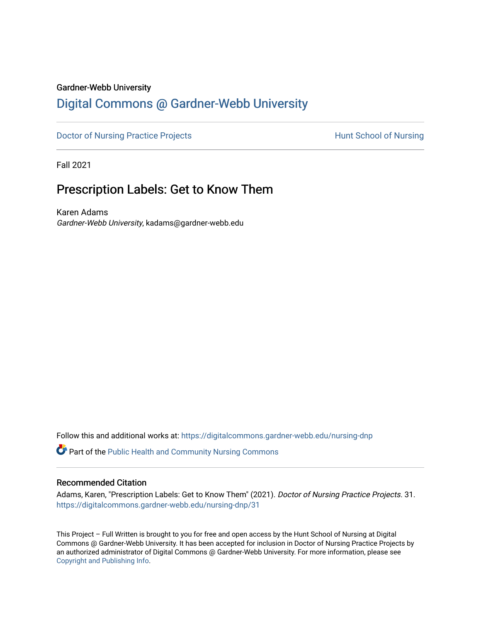## Gardner-Webb University

# [Digital Commons @ Gardner-Webb University](https://digitalcommons.gardner-webb.edu/)

[Doctor of Nursing Practice Projects](https://digitalcommons.gardner-webb.edu/nursing-dnp) **Hunt School of Nursing** 

Fall 2021

# Prescription Labels: Get to Know Them

Karen Adams Gardner-Webb University, kadams@gardner-webb.edu

Follow this and additional works at: [https://digitalcommons.gardner-webb.edu/nursing-dnp](https://digitalcommons.gardner-webb.edu/nursing-dnp?utm_source=digitalcommons.gardner-webb.edu%2Fnursing-dnp%2F31&utm_medium=PDF&utm_campaign=PDFCoverPages) 

**P** Part of the Public Health and Community Nursing Commons

#### Recommended Citation

Adams, Karen, "Prescription Labels: Get to Know Them" (2021). Doctor of Nursing Practice Projects. 31. [https://digitalcommons.gardner-webb.edu/nursing-dnp/31](https://digitalcommons.gardner-webb.edu/nursing-dnp/31?utm_source=digitalcommons.gardner-webb.edu%2Fnursing-dnp%2F31&utm_medium=PDF&utm_campaign=PDFCoverPages)

This Project – Full Written is brought to you for free and open access by the Hunt School of Nursing at Digital Commons @ Gardner-Webb University. It has been accepted for inclusion in Doctor of Nursing Practice Projects by an authorized administrator of Digital Commons @ Gardner-Webb University. For more information, please see [Copyright and Publishing Info.](https://digitalcommons.gardner-webb.edu/copyright_publishing.html)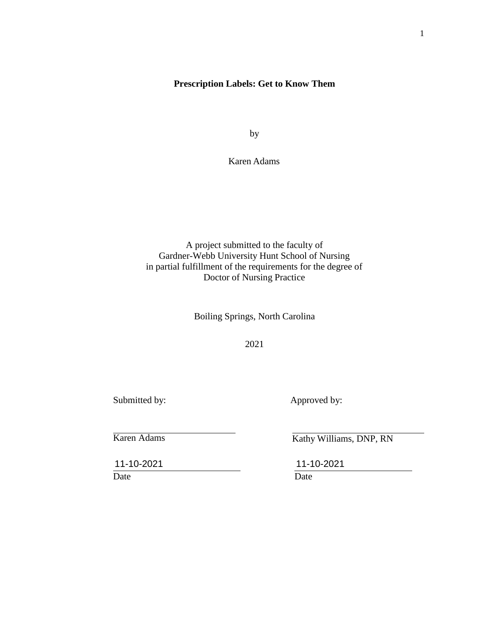## **Prescription Labels: Get to Know Them**

by

Karen Adams

A project submitted to the faculty of Gardner-Webb University Hunt School of Nursing in partial fulfillment of the requirements for the degree of Doctor of Nursing Practice

Boiling Springs, North Carolina

2021

Submitted by: Approved by:

Karen Adams

Date Date Date

Kathy Williams, DNP, RN

11-10-2021 11-10-2021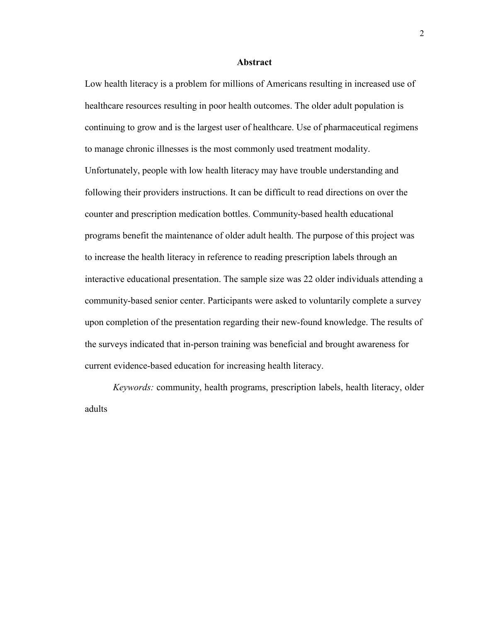#### **Abstract**

Low health literacy is a problem for millions of Americans resulting in increased use of healthcare resources resulting in poor health outcomes. The older adult population is continuing to grow and is the largest user of healthcare. Use of pharmaceutical regimens to manage chronic illnesses is the most commonly used treatment modality. Unfortunately, people with low health literacy may have trouble understanding and following their providers instructions. It can be difficult to read directions on over the counter and prescription medication bottles. Community-based health educational programs benefit the maintenance of older adult health. The purpose of this project was to increase the health literacy in reference to reading prescription labels through an interactive educational presentation. The sample size was 22 older individuals attending a community-based senior center. Participants were asked to voluntarily complete a survey upon completion of the presentation regarding their new-found knowledge. The results of the surveys indicated that in-person training was beneficial and brought awareness for current evidence-based education for increasing health literacy.

*Keywords:* community, health programs, prescription labels, health literacy, older adults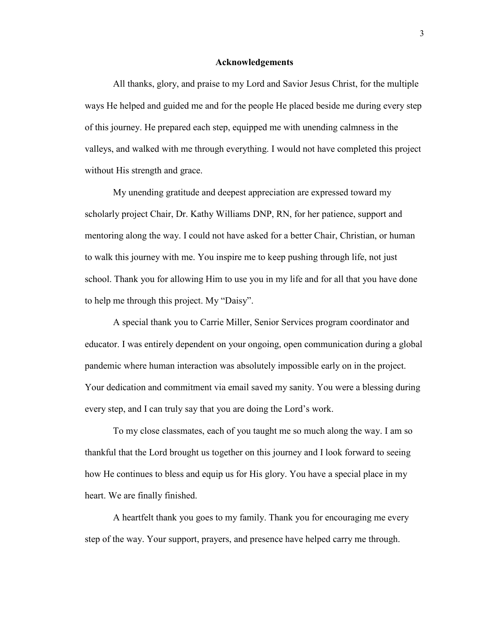#### **Acknowledgements**

All thanks, glory, and praise to my Lord and Savior Jesus Christ, for the multiple ways He helped and guided me and for the people He placed beside me during every step of this journey. He prepared each step, equipped me with unending calmness in the valleys, and walked with me through everything. I would not have completed this project without His strength and grace.

My unending gratitude and deepest appreciation are expressed toward my scholarly project Chair, Dr. Kathy Williams DNP, RN, for her patience, support and mentoring along the way. I could not have asked for a better Chair, Christian, or human to walk this journey with me. You inspire me to keep pushing through life, not just school. Thank you for allowing Him to use you in my life and for all that you have done to help me through this project. My "Daisy".

A special thank you to Carrie Miller, Senior Services program coordinator and educator. I was entirely dependent on your ongoing, open communication during a global pandemic where human interaction was absolutely impossible early on in the project. Your dedication and commitment via email saved my sanity. You were a blessing during every step, and I can truly say that you are doing the Lord's work.

To my close classmates, each of you taught me so much along the way. I am so thankful that the Lord brought us together on this journey and I look forward to seeing how He continues to bless and equip us for His glory. You have a special place in my heart. We are finally finished.

A heartfelt thank you goes to my family. Thank you for encouraging me every step of the way. Your support, prayers, and presence have helped carry me through.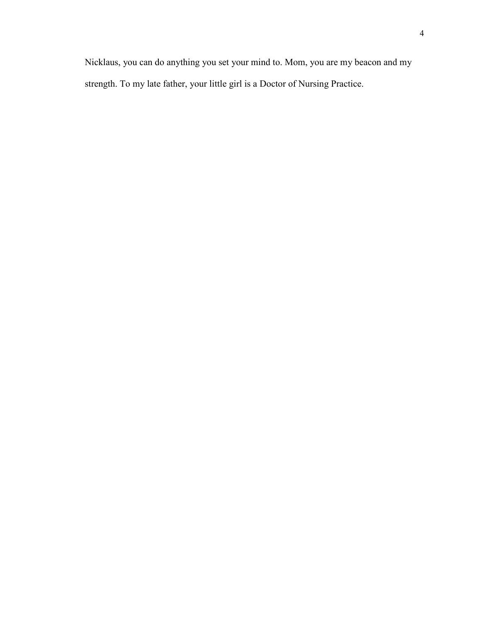4

Nicklaus, you can do anything you set your mind to. Mom, you are my beacon and my strength. To my late father, your little girl is a Doctor of Nursing Practice.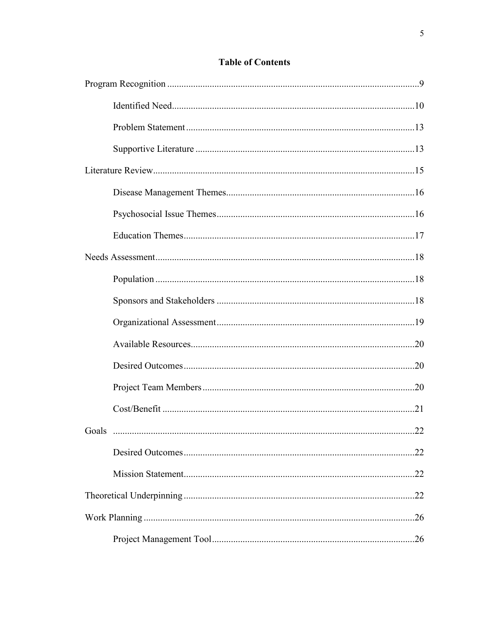## **Table of Contents**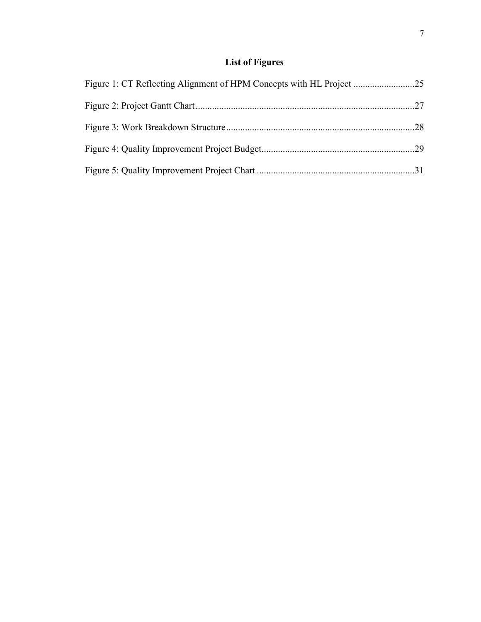# **List of Figures**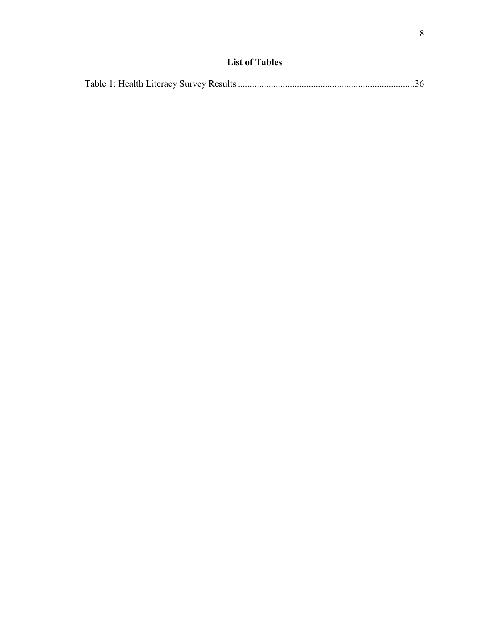# **List of Tables**

|--|--|--|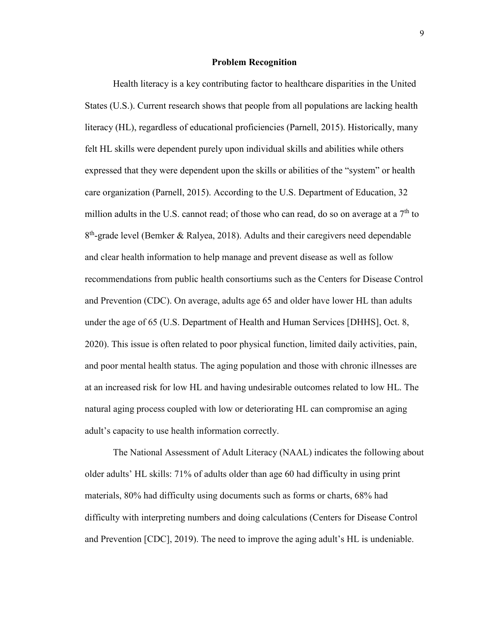#### **Problem Recognition**

Health literacy is a key contributing factor to healthcare disparities in the United States (U.S.). Current research shows that people from all populations are lacking health literacy (HL), regardless of educational proficiencies (Parnell, 2015). Historically, many felt HL skills were dependent purely upon individual skills and abilities while others expressed that they were dependent upon the skills or abilities of the "system" or health care organization (Parnell, 2015). According to the U.S. Department of Education, 32 million adults in the U.S. cannot read; of those who can read, do so on average at a  $7<sup>th</sup>$  to  $8<sup>th</sup>$ -grade level (Bemker & Ralyea, 2018). Adults and their caregivers need dependable and clear health information to help manage and prevent disease as well as follow recommendations from public health consortiums such as the Centers for Disease Control and Prevention (CDC). On average, adults age 65 and older have lower HL than adults under the age of 65 (U.S. Department of Health and Human Services [DHHS], Oct. 8, 2020). This issue is often related to poor physical function, limited daily activities, pain, and poor mental health status. The aging population and those with chronic illnesses are at an increased risk for low HL and having undesirable outcomes related to low HL. The natural aging process coupled with low or deteriorating HL can compromise an aging adult's capacity to use health information correctly.

The National Assessment of Adult Literacy (NAAL) indicates the following about older adults' HL skills: 71% of adults older than age 60 had difficulty in using print materials, 80% had difficulty using documents such as forms or charts, 68% had difficulty with interpreting numbers and doing calculations (Centers for Disease Control and Prevention [CDC], 2019). The need to improve the aging adult's HL is undeniable.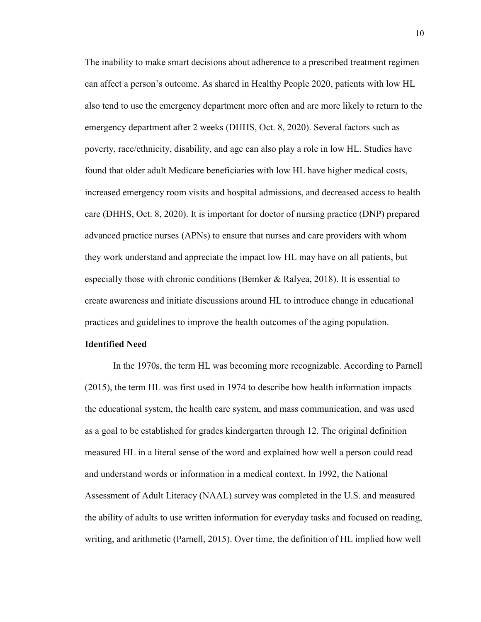The inability to make smart decisions about adherence to a prescribed treatment regimen can affect a person's outcome. As shared in Healthy People 2020, patients with low HL also tend to use the emergency department more often and are more likely to return to the emergency department after 2 weeks (DHHS, Oct. 8, 2020). Several factors such as poverty, race/ethnicity, disability, and age can also play a role in low HL. Studies have found that older adult Medicare beneficiaries with low HL have higher medical costs, increased emergency room visits and hospital admissions, and decreased access to health care (DHHS, Oct. 8, 2020). It is important for doctor of nursing practice (DNP) prepared advanced practice nurses (APNs) to ensure that nurses and care providers with whom they work understand and appreciate the impact low HL may have on all patients, but especially those with chronic conditions (Bemker & Ralyea, 2018). It is essential to create awareness and initiate discussions around HL to introduce change in educational practices and guidelines to improve the health outcomes of the aging population.

#### **Identified Need**

In the 1970s, the term HL was becoming more recognizable. According to Parnell (2015), the term HL was first used in 1974 to describe how health information impacts the educational system, the health care system, and mass communication, and was used as a goal to be established for grades kindergarten through 12. The original definition measured HL in a literal sense of the word and explained how well a person could read and understand words or information in a medical context. In 1992, the National Assessment of Adult Literacy (NAAL) survey was completed in the U.S. and measured the ability of adults to use written information for everyday tasks and focused on reading, writing, and arithmetic (Parnell, 2015). Over time, the definition of HL implied how well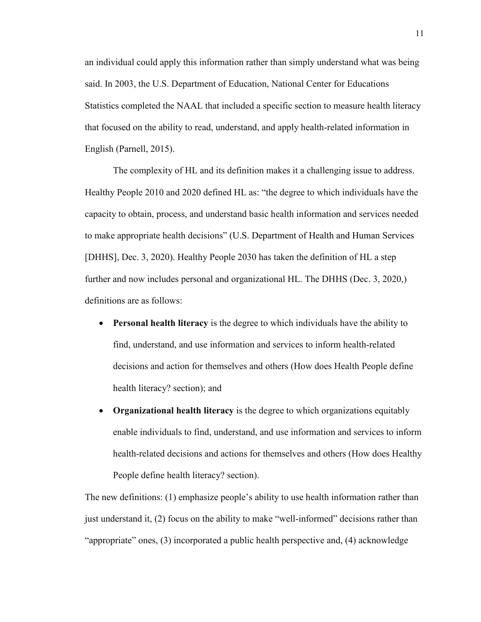an individual could apply this information rather than simply understand what was being said. In 2003, the U.S. Department of Education, National Center for Educations Statistics completed the NAAL that included a specific section to measure health literacy that focused on the ability to read, understand, and apply health-related information in English (Parnell, 2015).

The complexity of HL and its definition makes it a challenging issue to address. Healthy People 2010 and 2020 defined HL as: "the degree to which individuals have the capacity to obtain, process, and understand basic health information and services needed to make appropriate health decisions" (U.S. Department of Health and Human Services [DHHS], Dec. 3, 2020). Healthy People 2030 has taken the definition of HL a step further and now includes personal and organizational HL. The DHHS (Dec. 3, 2020,) definitions are as follows:

- **Personal health literacy** is the degree to which individuals have the ability to find, understand, and use information and services to inform health-related decisions and action for themselves and others (How does Health People define health literacy? section); and
- **Organizational health literacy** is the degree to which organizations equitably enable individuals to find, understand, and use information and services to inform health-related decisions and actions for themselves and others (How does Healthy People define health literacy? section).

The new definitions: (1) emphasize people's ability to use health information rather than just understand it, (2) focus on the ability to make "well-informed" decisions rather than "appropriate" ones, (3) incorporated a public health perspective and, (4) acknowledge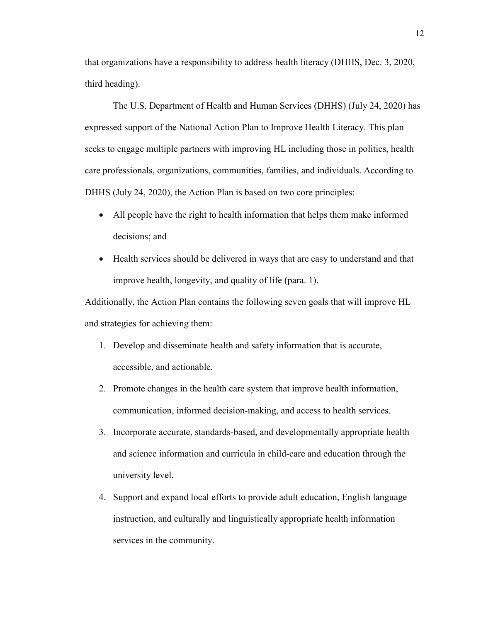that organizations have a responsibility to address health literacy (DHHS, Dec. 3, 2020, third heading).

The U.S. Department of Health and Human Services (DHHS) (July 24, 2020) has expressed support of the National Action Plan to Improve Health Literacy. This plan seeks to engage multiple partners with improving HL including those in politics, health care professionals, organizations, communities, families, and individuals. According to DHHS (July 24, 2020), the Action Plan is based on two core principles:

- All people have the right to health information that helps them make informed decisions; and
- Health services should be delivered in ways that are easy to understand and that improve health, longevity, and quality of life (para. 1).

Additionally, the Action Plan contains the following seven goals that will improve HL and strategies for achieving them:

- 1. Develop and disseminate health and safety information that is accurate, accessible, and actionable.
- 2. Promote changes in the health care system that improve health information, communication, informed decision-making, and access to health services.
- 3. Incorporate accurate, standards-based, and developmentally appropriate health and science information and curricula in child-care and education through the university level.
- 4. Support and expand local efforts to provide adult education, English language instruction, and culturally and linguistically appropriate health information services in the community.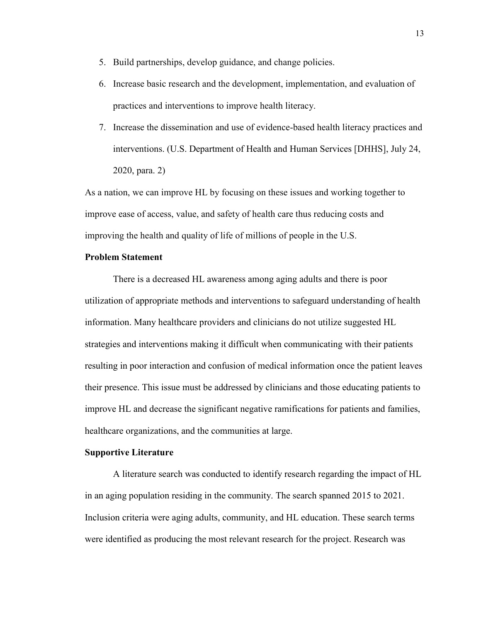- 5. Build partnerships, develop guidance, and change policies.
- 6. Increase basic research and the development, implementation, and evaluation of practices and interventions to improve health literacy.
- 7. Increase the dissemination and use of evidence-based health literacy practices and interventions. (U.S. Department of Health and Human Services [DHHS], July 24, 2020, para. 2)

As a nation, we can improve HL by focusing on these issues and working together to improve ease of access, value, and safety of health care thus reducing costs and improving the health and quality of life of millions of people in the U.S.

## **Problem Statement**

There is a decreased HL awareness among aging adults and there is poor utilization of appropriate methods and interventions to safeguard understanding of health information. Many healthcare providers and clinicians do not utilize suggested HL strategies and interventions making it difficult when communicating with their patients resulting in poor interaction and confusion of medical information once the patient leaves their presence. This issue must be addressed by clinicians and those educating patients to improve HL and decrease the significant negative ramifications for patients and families, healthcare organizations, and the communities at large.

#### **Supportive Literature**

A literature search was conducted to identify research regarding the impact of HL in an aging population residing in the community. The search spanned 2015 to 2021. Inclusion criteria were aging adults, community, and HL education. These search terms were identified as producing the most relevant research for the project. Research was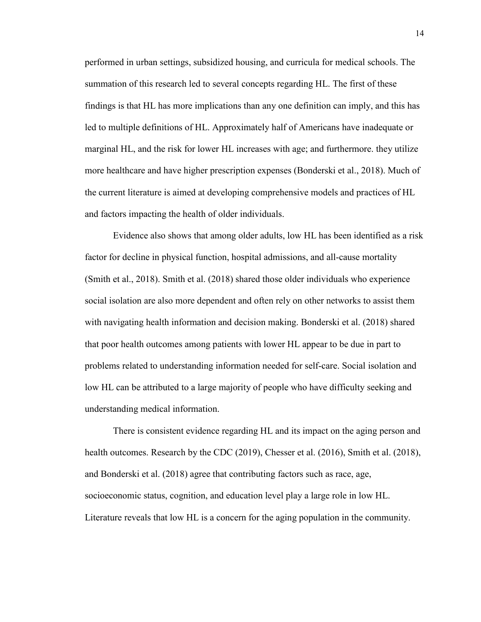performed in urban settings, subsidized housing, and curricula for medical schools. The summation of this research led to several concepts regarding HL. The first of these findings is that HL has more implications than any one definition can imply, and this has led to multiple definitions of HL. Approximately half of Americans have inadequate or marginal HL, and the risk for lower HL increases with age; and furthermore. they utilize more healthcare and have higher prescription expenses (Bonderski et al., 2018). Much of the current literature is aimed at developing comprehensive models and practices of HL and factors impacting the health of older individuals.

Evidence also shows that among older adults, low HL has been identified as a risk factor for decline in physical function, hospital admissions, and all-cause mortality (Smith et al., 2018). Smith et al. (2018) shared those older individuals who experience social isolation are also more dependent and often rely on other networks to assist them with navigating health information and decision making. Bonderski et al. (2018) shared that poor health outcomes among patients with lower HL appear to be due in part to problems related to understanding information needed for self-care. Social isolation and low HL can be attributed to a large majority of people who have difficulty seeking and understanding medical information.

There is consistent evidence regarding HL and its impact on the aging person and health outcomes. Research by the CDC (2019), Chesser et al. (2016), Smith et al. (2018), and Bonderski et al. (2018) agree that contributing factors such as race, age, socioeconomic status, cognition, and education level play a large role in low HL. Literature reveals that low HL is a concern for the aging population in the community.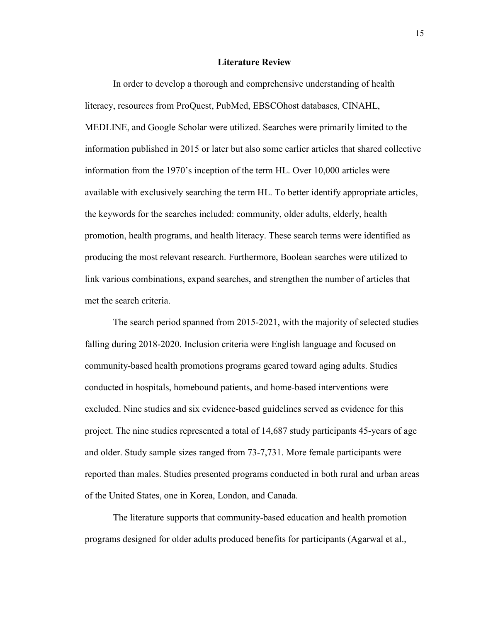#### **Literature Review**

In order to develop a thorough and comprehensive understanding of health literacy, resources from ProQuest, PubMed, EBSCOhost databases, CINAHL, MEDLINE, and Google Scholar were utilized. Searches were primarily limited to the information published in 2015 or later but also some earlier articles that shared collective information from the 1970's inception of the term HL. Over 10,000 articles were available with exclusively searching the term HL. To better identify appropriate articles, the keywords for the searches included: community, older adults, elderly, health promotion, health programs, and health literacy. These search terms were identified as producing the most relevant research. Furthermore, Boolean searches were utilized to link various combinations, expand searches, and strengthen the number of articles that met the search criteria.

The search period spanned from 2015-2021, with the majority of selected studies falling during 2018-2020. Inclusion criteria were English language and focused on community-based health promotions programs geared toward aging adults. Studies conducted in hospitals, homebound patients, and home-based interventions were excluded. Nine studies and six evidence-based guidelines served as evidence for this project. The nine studies represented a total of 14,687 study participants 45-years of age and older. Study sample sizes ranged from 73-7,731. More female participants were reported than males. Studies presented programs conducted in both rural and urban areas of the United States, one in Korea, London, and Canada.

The literature supports that community-based education and health promotion programs designed for older adults produced benefits for participants (Agarwal et al.,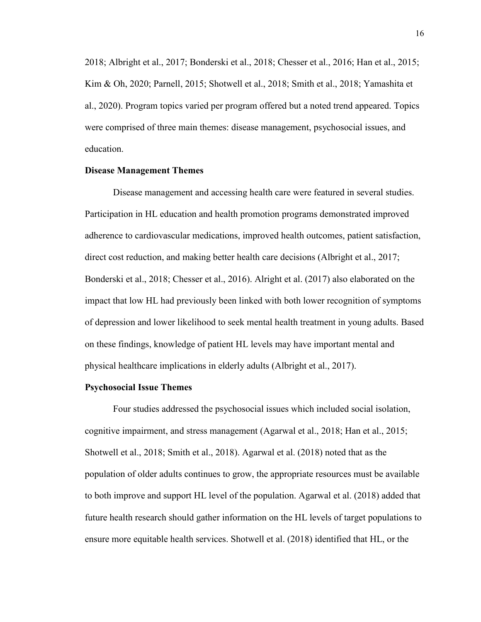2018; Albright et al., 2017; Bonderski et al., 2018; Chesser et al., 2016; Han et al., 2015; Kim & Oh, 2020; Parnell, 2015; Shotwell et al., 2018; Smith et al., 2018; Yamashita et al., 2020). Program topics varied per program offered but a noted trend appeared. Topics were comprised of three main themes: disease management, psychosocial issues, and education.

#### **Disease Management Themes**

Disease management and accessing health care were featured in several studies. Participation in HL education and health promotion programs demonstrated improved adherence to cardiovascular medications, improved health outcomes, patient satisfaction, direct cost reduction, and making better health care decisions (Albright et al., 2017; Bonderski et al., 2018; Chesser et al., 2016). Alright et al. (2017) also elaborated on the impact that low HL had previously been linked with both lower recognition of symptoms of depression and lower likelihood to seek mental health treatment in young adults. Based on these findings, knowledge of patient HL levels may have important mental and physical healthcare implications in elderly adults (Albright et al., 2017).

#### **Psychosocial Issue Themes**

Four studies addressed the psychosocial issues which included social isolation, cognitive impairment, and stress management (Agarwal et al., 2018; Han et al., 2015; Shotwell et al., 2018; Smith et al., 2018). Agarwal et al. (2018) noted that as the population of older adults continues to grow, the appropriate resources must be available to both improve and support HL level of the population. Agarwal et al. (2018) added that future health research should gather information on the HL levels of target populations to ensure more equitable health services. Shotwell et al. (2018) identified that HL, or the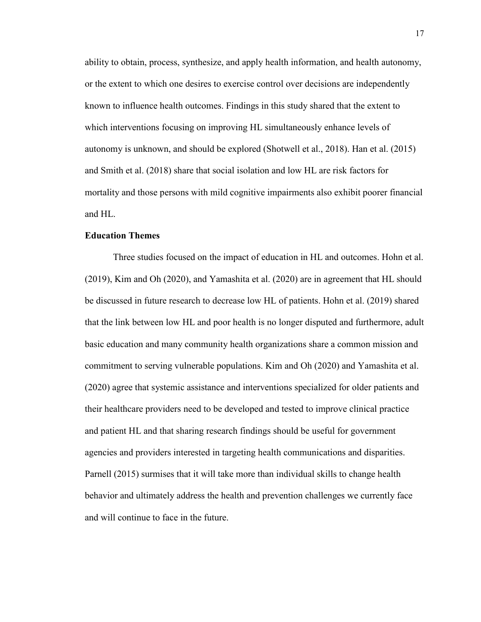ability to obtain, process, synthesize, and apply health information, and health autonomy, or the extent to which one desires to exercise control over decisions are independently known to influence health outcomes. Findings in this study shared that the extent to which interventions focusing on improving HL simultaneously enhance levels of autonomy is unknown, and should be explored (Shotwell et al., 2018). Han et al. (2015) and Smith et al. (2018) share that social isolation and low HL are risk factors for mortality and those persons with mild cognitive impairments also exhibit poorer financial and HL.

#### **Education Themes**

Three studies focused on the impact of education in HL and outcomes. Hohn et al. (2019), Kim and Oh (2020), and Yamashita et al. (2020) are in agreement that HL should be discussed in future research to decrease low HL of patients. Hohn et al. (2019) shared that the link between low HL and poor health is no longer disputed and furthermore, adult basic education and many community health organizations share a common mission and commitment to serving vulnerable populations. Kim and Oh (2020) and Yamashita et al. (2020) agree that systemic assistance and interventions specialized for older patients and their healthcare providers need to be developed and tested to improve clinical practice and patient HL and that sharing research findings should be useful for government agencies and providers interested in targeting health communications and disparities. Parnell (2015) surmises that it will take more than individual skills to change health behavior and ultimately address the health and prevention challenges we currently face and will continue to face in the future.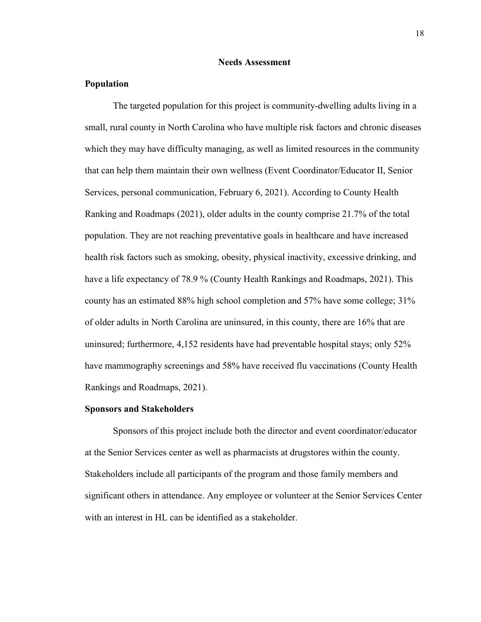#### **Needs Assessment**

#### **Population**

The targeted population for this project is community-dwelling adults living in a small, rural county in North Carolina who have multiple risk factors and chronic diseases which they may have difficulty managing, as well as limited resources in the community that can help them maintain their own wellness (Event Coordinator/Educator II, Senior Services, personal communication, February 6, 2021). According to County Health Ranking and Roadmaps (2021), older adults in the county comprise 21.7% of the total population. They are not reaching preventative goals in healthcare and have increased health risk factors such as smoking, obesity, physical inactivity, excessive drinking, and have a life expectancy of 78.9 % (County Health Rankings and Roadmaps, 2021). This county has an estimated 88% high school completion and 57% have some college; 31% of older adults in North Carolina are uninsured, in this county, there are 16% that are uninsured; furthermore, 4,152 residents have had preventable hospital stays; only 52% have mammography screenings and 58% have received flu vaccinations (County Health Rankings and Roadmaps, 2021).

#### **Sponsors and Stakeholders**

Sponsors of this project include both the director and event coordinator/educator at the Senior Services center as well as pharmacists at drugstores within the county. Stakeholders include all participants of the program and those family members and significant others in attendance. Any employee or volunteer at the Senior Services Center with an interest in HL can be identified as a stakeholder.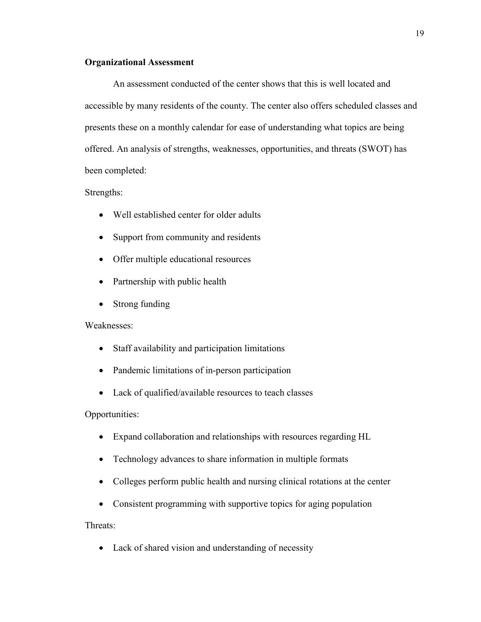## **Organizational Assessment**

An assessment conducted of the center shows that this is well located and accessible by many residents of the county. The center also offers scheduled classes and presents these on a monthly calendar for ease of understanding what topics are being offered. An analysis of strengths, weaknesses, opportunities, and threats (SWOT) has been completed:

### Strengths:

- Well established center for older adults
- Support from community and residents
- Offer multiple educational resources
- Partnership with public health
- Strong funding

#### Weaknesses:

- Staff availability and participation limitations
- Pandemic limitations of in-person participation
- Lack of qualified/available resources to teach classes

#### Opportunities:

- Expand collaboration and relationships with resources regarding HL
- Technology advances to share information in multiple formats
- Colleges perform public health and nursing clinical rotations at the center
- Consistent programming with supportive topics for aging population

#### Threats:

• Lack of shared vision and understanding of necessity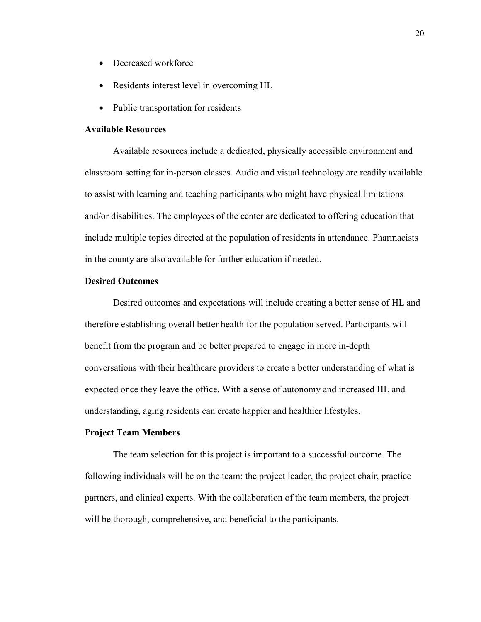- Decreased workforce
- Residents interest level in overcoming HL
- Public transportation for residents

## **Available Resources**

Available resources include a dedicated, physically accessible environment and classroom setting for in-person classes. Audio and visual technology are readily available to assist with learning and teaching participants who might have physical limitations and/or disabilities. The employees of the center are dedicated to offering education that include multiple topics directed at the population of residents in attendance. Pharmacists in the county are also available for further education if needed.

### **Desired Outcomes**

Desired outcomes and expectations will include creating a better sense of HL and therefore establishing overall better health for the population served. Participants will benefit from the program and be better prepared to engage in more in-depth conversations with their healthcare providers to create a better understanding of what is expected once they leave the office. With a sense of autonomy and increased HL and understanding, aging residents can create happier and healthier lifestyles.

#### **Project Team Members**

The team selection for this project is important to a successful outcome. The following individuals will be on the team: the project leader, the project chair, practice partners, and clinical experts. With the collaboration of the team members, the project will be thorough, comprehensive, and beneficial to the participants.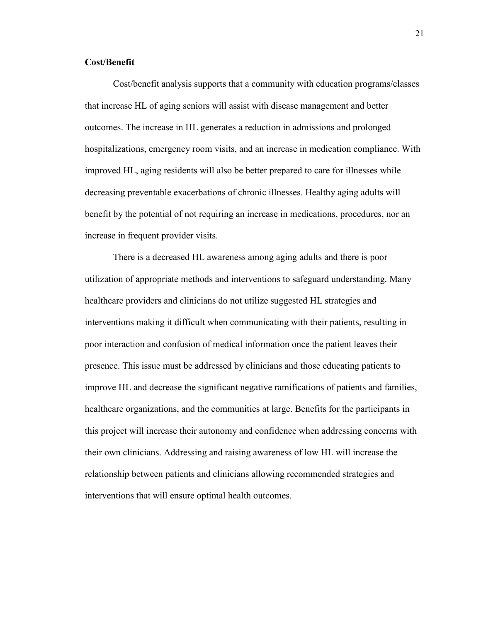### **Cost/Benefit**

Cost/benefit analysis supports that a community with education programs/classes that increase HL of aging seniors will assist with disease management and better outcomes. The increase in HL generates a reduction in admissions and prolonged hospitalizations, emergency room visits, and an increase in medication compliance. With improved HL, aging residents will also be better prepared to care for illnesses while decreasing preventable exacerbations of chronic illnesses. Healthy aging adults will benefit by the potential of not requiring an increase in medications, procedures, nor an increase in frequent provider visits.

There is a decreased HL awareness among aging adults and there is poor utilization of appropriate methods and interventions to safeguard understanding. Many healthcare providers and clinicians do not utilize suggested HL strategies and interventions making it difficult when communicating with their patients, resulting in poor interaction and confusion of medical information once the patient leaves their presence. This issue must be addressed by clinicians and those educating patients to improve HL and decrease the significant negative ramifications of patients and families, healthcare organizations, and the communities at large. Benefits for the participants in this project will increase their autonomy and confidence when addressing concerns with their own clinicians. Addressing and raising awareness of low HL will increase the relationship between patients and clinicians allowing recommended strategies and interventions that will ensure optimal health outcomes.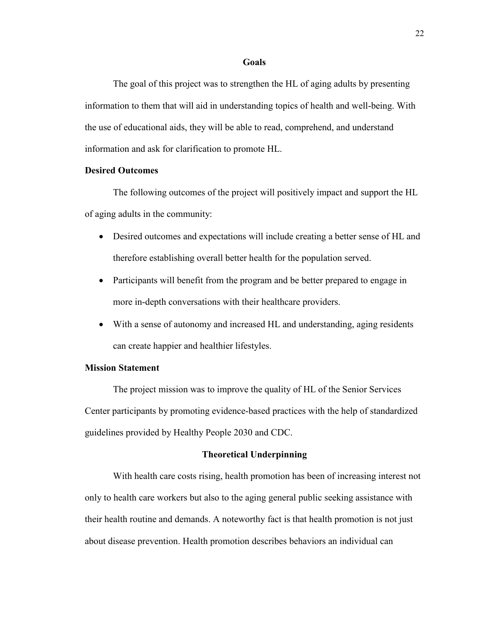#### **Goals**

The goal of this project was to strengthen the HL of aging adults by presenting information to them that will aid in understanding topics of health and well-being. With the use of educational aids, they will be able to read, comprehend, and understand information and ask for clarification to promote HL.

### **Desired Outcomes**

The following outcomes of the project will positively impact and support the HL of aging adults in the community:

- Desired outcomes and expectations will include creating a better sense of HL and therefore establishing overall better health for the population served.
- Participants will benefit from the program and be better prepared to engage in more in-depth conversations with their healthcare providers.
- With a sense of autonomy and increased HL and understanding, aging residents can create happier and healthier lifestyles.

## **Mission Statement**

The project mission was to improve the quality of HL of the Senior Services Center participants by promoting evidence-based practices with the help of standardized guidelines provided by Healthy People 2030 and CDC.

### **Theoretical Underpinning**

With health care costs rising, health promotion has been of increasing interest not only to health care workers but also to the aging general public seeking assistance with their health routine and demands. A noteworthy fact is that health promotion is not just about disease prevention. Health promotion describes behaviors an individual can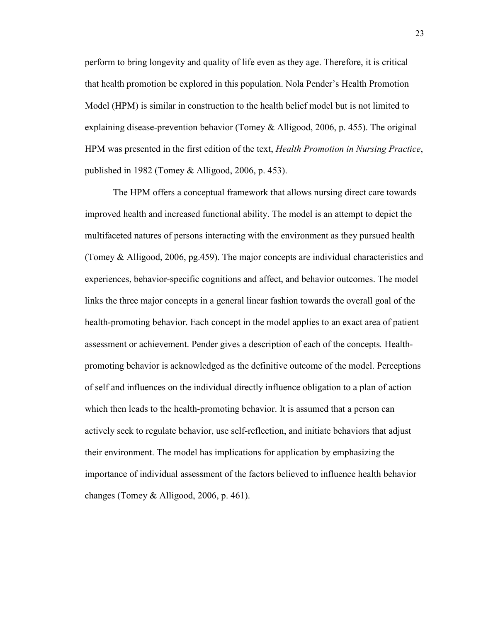perform to bring longevity and quality of life even as they age. Therefore, it is critical that health promotion be explored in this population. Nola Pender's Health Promotion Model (HPM) is similar in construction to the health belief model but is not limited to explaining disease-prevention behavior (Tomey & Alligood, 2006, p. 455). The original HPM was presented in the first edition of the text, *Health Promotion in Nursing Practice*, published in 1982 (Tomey & Alligood, 2006, p. 453).

The HPM offers a conceptual framework that allows nursing direct care towards improved health and increased functional ability. The model is an attempt to depict the multifaceted natures of persons interacting with the environment as they pursued health (Tomey & Alligood, 2006, pg.459). The major concepts are individual characteristics and experiences, behavior-specific cognitions and affect, and behavior outcomes. The model links the three major concepts in a general linear fashion towards the overall goal of the health-promoting behavior. Each concept in the model applies to an exact area of patient assessment or achievement. Pender gives a description of each of the concepts*.* Healthpromoting behavior is acknowledged as the definitive outcome of the model. Perceptions of self and influences on the individual directly influence obligation to a plan of action which then leads to the health-promoting behavior. It is assumed that a person can actively seek to regulate behavior, use self-reflection, and initiate behaviors that adjust their environment. The model has implications for application by emphasizing the importance of individual assessment of the factors believed to influence health behavior changes (Tomey & Alligood, 2006, p. 461).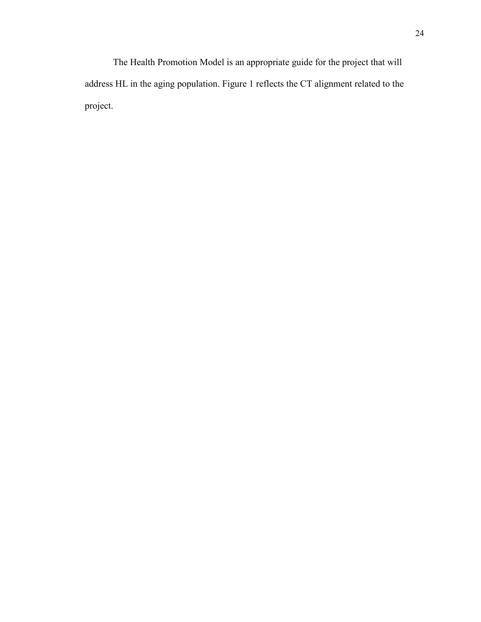The Health Promotion Model is an appropriate guide for the project that will address HL in the aging population. Figure 1 reflects the CT alignment related to the project.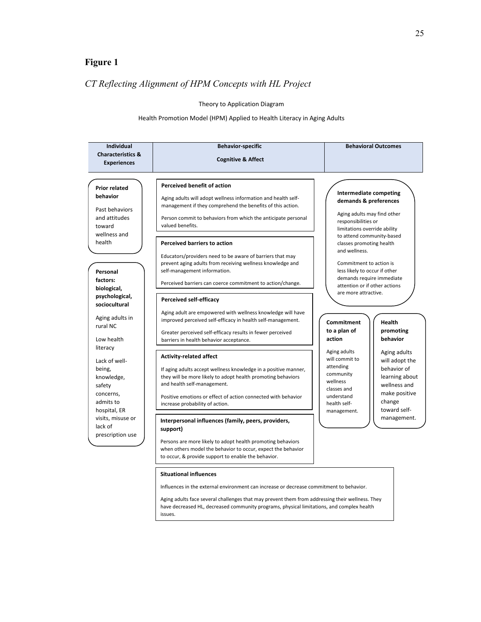## **Figure 1**

## *CT Reflecting Alignment of HPM Concepts with HL Project*

#### Theory to Application Diagram

#### Health Promotion Model (HPM) Applied to Health Literacy in Aging Adults

| <b>Individual</b>                 | <b>Behavior-specific</b>                                                                                                    | <b>Behavioral Outcomes</b>                                 |
|-----------------------------------|-----------------------------------------------------------------------------------------------------------------------------|------------------------------------------------------------|
| <b>Characteristics &amp;</b>      | <b>Cognitive &amp; Affect</b>                                                                                               |                                                            |
| <b>Experiences</b>                |                                                                                                                             |                                                            |
|                                   |                                                                                                                             |                                                            |
| <b>Prior related</b>              | <b>Perceived benefit of action</b>                                                                                          | Intermediate competing                                     |
| behavior                          | Aging adults will adopt wellness information and health self-<br>management if they comprehend the benefits of this action. | demands & preferences                                      |
| Past behaviors                    |                                                                                                                             | Aging adults may find other                                |
| and attitudes<br>toward           | Person commit to behaviors from which the anticipate personal<br>valued benefits.                                           | responsibilities or                                        |
| wellness and                      |                                                                                                                             | limitations override ability<br>to attend community-based  |
| health                            | <b>Perceived barriers to action</b>                                                                                         | classes promoting health                                   |
|                                   | Educators/providers need to be aware of barriers that may                                                                   | and wellness.                                              |
|                                   | prevent aging adults from receiving wellness knowledge and                                                                  | Commitment to action is                                    |
| Personal                          | self-management information.                                                                                                | less likely to occur if other                              |
| factors:                          | Perceived barriers can coerce commitment to action/change.                                                                  | demands require immediate<br>attention or if other actions |
| biological,                       |                                                                                                                             | are more attractive.                                       |
| psychological,<br>sociocultural   | <b>Perceived self-efficacy</b>                                                                                              |                                                            |
|                                   | Aging adult are empowered with wellness knowledge will have                                                                 |                                                            |
| Aging adults in                   | improved perceived self-efficacy in health self-management.                                                                 | <b>Commitment</b><br><b>Health</b>                         |
| rural NC                          | Greater perceived self-efficacy results in fewer perceived                                                                  | to a plan of<br>promoting                                  |
| Low health                        | barriers in health behavior acceptance.                                                                                     | action<br>behavior                                         |
| literacy                          |                                                                                                                             | Aging adults<br>Aging adults                               |
| Lack of well-                     | <b>Activity-related affect</b>                                                                                              | will commit to<br>will adopt the                           |
| being,                            | If aging adults accept wellness knowledge in a positive manner,                                                             | attending<br>behavior of                                   |
| knowledge,                        | they will be more likely to adopt health promoting behaviors                                                                | community<br>learning about<br>wellness                    |
| safety                            | and health self-management.                                                                                                 | wellness and<br>classes and                                |
| concerns,                         | Positive emotions or effect of action connected with behavior                                                               | make positive<br>understand                                |
| admits to                         | increase probability of action.                                                                                             | change<br>health self-<br>toward self-                     |
| hospital, ER<br>visits, misuse or |                                                                                                                             | management.<br>management.                                 |
| lack of                           | Interpersonal influences (family, peers, providers,<br>support)                                                             |                                                            |
| prescription use                  |                                                                                                                             |                                                            |
|                                   | Persons are more likely to adopt health promoting behaviors                                                                 |                                                            |
|                                   | when others model the behavior to occur, expect the behavior                                                                |                                                            |
|                                   | to occur, & provide support to enable the behavior.                                                                         |                                                            |

#### **Situational influences**

Influences in the external environment can increase or decrease commitment to behavior.

Aging adults face several challenges that may prevent them from addressing their wellness. They have decreased HL, decreased community programs, physical limitations, and complex health issues.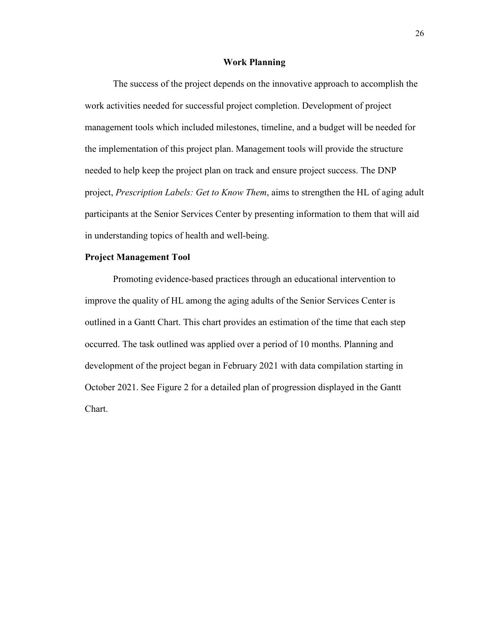#### **Work Planning**

The success of the project depends on the innovative approach to accomplish the work activities needed for successful project completion. Development of project management tools which included milestones, timeline, and a budget will be needed for the implementation of this project plan. Management tools will provide the structure needed to help keep the project plan on track and ensure project success. The DNP project, *Prescription Labels: Get to Know Them*, aims to strengthen the HL of aging adult participants at the Senior Services Center by presenting information to them that will aid in understanding topics of health and well-being.

## **Project Management Tool**

Promoting evidence-based practices through an educational intervention to improve the quality of HL among the aging adults of the Senior Services Center is outlined in a Gantt Chart. This chart provides an estimation of the time that each step occurred. The task outlined was applied over a period of 10 months. Planning and development of the project began in February 2021 with data compilation starting in October 2021. See Figure 2 for a detailed plan of progression displayed in the Gantt Chart.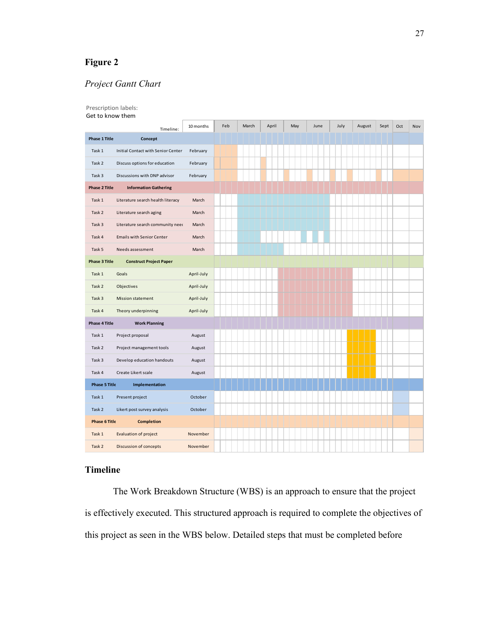## **Figure 2**

## *Project Gantt Chart*

| Prescription labels:<br>Get to know them |                                    |            |     |       |       |     |      |      |        |      |     |     |
|------------------------------------------|------------------------------------|------------|-----|-------|-------|-----|------|------|--------|------|-----|-----|
|                                          | Timeline:                          | 10 months  | Feb | March | April | May | June | July | August | Sept | Oct | Nov |
| <b>Phase 1 Title</b>                     | Concept                            |            |     |       |       |     |      |      |        |      |     |     |
| Task 1                                   | Initial Contact with Senior Center | February   |     |       |       |     |      |      |        |      |     |     |
| Task 2                                   | Discuss options for education      | February   |     |       |       |     |      |      |        |      |     |     |
| Task 3                                   | Discussions with DNP advisor       | February   |     |       |       |     |      |      |        |      |     |     |
| <b>Phase 2 Title</b>                     | <b>Information Gathering</b>       |            |     |       |       |     |      |      |        |      |     |     |
| Task 1                                   | Literature search health literacy  | March      |     |       |       |     |      |      |        |      |     |     |
| Task 2                                   | Literature search aging            | March      |     |       |       |     |      |      |        |      |     |     |
| Task 3                                   | Literature search community need   | March      |     |       |       |     |      |      |        |      |     |     |
| Task 4                                   | <b>Emails with Senior Center</b>   | March      |     |       |       |     |      |      |        |      |     |     |
| Task 5                                   | Needs assessment                   | March      |     |       |       |     |      |      |        |      |     |     |
| <b>Phase 3 Title</b>                     | <b>Construct Project Paper</b>     |            |     |       |       |     |      |      |        |      |     |     |
| Task 1                                   | Goals                              | April-July |     |       |       |     |      |      |        |      |     |     |
| Task 2                                   | Objectives                         | April-July |     |       |       |     |      |      |        |      |     |     |
| Task 3                                   | <b>Mission statement</b>           | April-July |     |       |       |     |      |      |        |      |     |     |
| Task 4                                   | Theory underpinning                | April-July |     |       |       |     |      |      |        |      |     |     |
| <b>Phase 4 Title</b>                     | <b>Work Planning</b>               |            |     |       |       |     |      |      |        |      |     |     |
| Task 1                                   | Project proposal                   | August     |     |       |       |     |      |      |        |      |     |     |
| Task 2                                   | Project management tools           | August     |     |       |       |     |      |      |        |      |     |     |
| Task 3                                   | Develop education handouts         | August     |     |       |       |     |      |      |        |      |     |     |
| Task 4                                   | Create Likert scale                | August     |     |       |       |     |      |      |        |      |     |     |
| <b>Phase 5 Title</b>                     | Implementation                     |            |     |       |       |     |      |      |        |      |     |     |
| Task 1                                   | Present project                    | October    |     |       |       |     |      |      |        |      |     |     |
| Task 2                                   | Likert post survey analysis        | October    |     |       |       |     |      |      |        |      |     |     |
| <b>Phase 6 Title</b>                     | <b>Completion</b>                  |            |     |       |       |     |      |      |        |      |     |     |
| Task 1                                   | <b>Evaluation of project</b>       | November   |     |       |       |     |      |      |        |      |     |     |
| Task 2                                   | <b>Discussion of concepts</b>      | November   |     |       |       |     |      |      |        |      |     |     |

## **Timeline**

The Work Breakdown Structure (WBS) is an approach to ensure that the project is effectively executed. This structured approach is required to complete the objectives of this project as seen in the WBS below. Detailed steps that must be completed before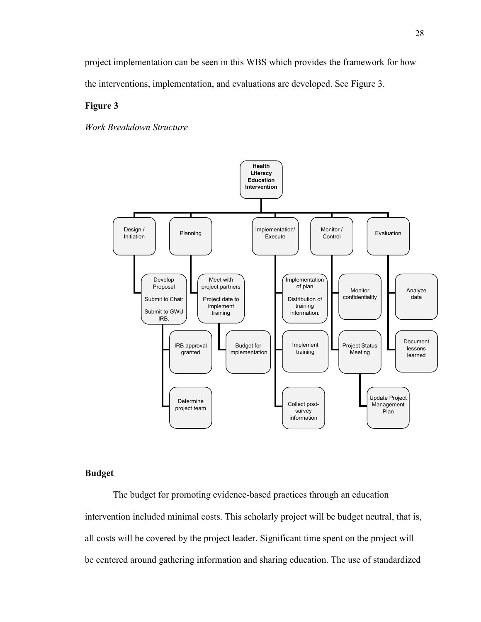project implementation can be seen in this WBS which provides the framework for how the interventions, implementation, and evaluations are developed. See Figure 3.

## **Figure 3**

*Work Breakdown Structure*



#### **Budget**

The budget for promoting evidence-based practices through an education intervention included minimal costs. This scholarly project will be budget neutral, that is, all costs will be covered by the project leader. Significant time spent on the project will be centered around gathering information and sharing education. The use of standardized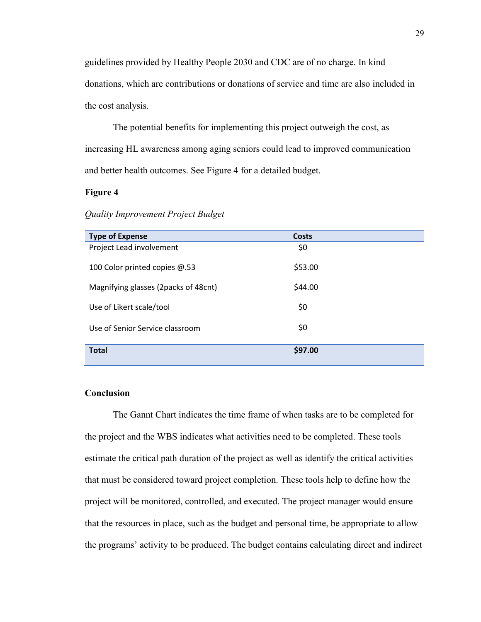guidelines provided by Healthy People 2030 and CDC are of no charge. In kind donations, which are contributions or donations of service and time are also included in the cost analysis.

The potential benefits for implementing this project outweigh the cost, as increasing HL awareness among aging seniors could lead to improved communication and better health outcomes. See Figure 4 for a detailed budget.

## **Figure 4**

| Quality Improvement Project Budget |  |
|------------------------------------|--|
|------------------------------------|--|

| <b>Type of Expense</b>               | <b>Costs</b> |
|--------------------------------------|--------------|
| Project Lead involvement             | \$0          |
|                                      |              |
| 100 Color printed copies @.53        | \$53.00      |
| Magnifying glasses (2packs of 48cnt) | \$44.00      |
|                                      |              |
| Use of Likert scale/tool             | \$0          |
|                                      |              |
| Use of Senior Service classroom      | \$0          |
|                                      |              |
| <b>Total</b>                         | \$97.00      |
|                                      |              |

## **Conclusion**

The Gannt Chart indicates the time frame of when tasks are to be completed for the project and the WBS indicates what activities need to be completed. These tools estimate the critical path duration of the project as well as identify the critical activities that must be considered toward project completion. These tools help to define how the project will be monitored, controlled, and executed. The project manager would ensure that the resources in place, such as the budget and personal time, be appropriate to allow the programs' activity to be produced. The budget contains calculating direct and indirect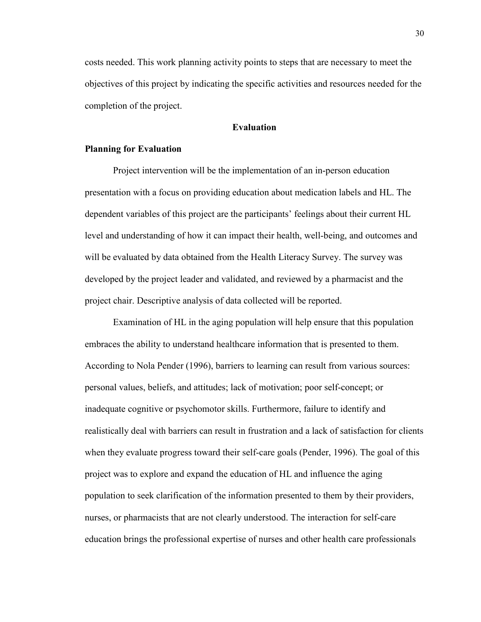costs needed. This work planning activity points to steps that are necessary to meet the objectives of this project by indicating the specific activities and resources needed for the completion of the project.

### **Evaluation**

#### **Planning for Evaluation**

Project intervention will be the implementation of an in-person education presentation with a focus on providing education about medication labels and HL. The dependent variables of this project are the participants' feelings about their current HL level and understanding of how it can impact their health, well-being, and outcomes and will be evaluated by data obtained from the Health Literacy Survey. The survey was developed by the project leader and validated, and reviewed by a pharmacist and the project chair. Descriptive analysis of data collected will be reported.

Examination of HL in the aging population will help ensure that this population embraces the ability to understand healthcare information that is presented to them. According to Nola Pender (1996), barriers to learning can result from various sources: personal values, beliefs, and attitudes; lack of motivation; poor self-concept; or inadequate cognitive or psychomotor skills. Furthermore, failure to identify and realistically deal with barriers can result in frustration and a lack of satisfaction for clients when they evaluate progress toward their self-care goals (Pender, 1996). The goal of this project was to explore and expand the education of HL and influence the aging population to seek clarification of the information presented to them by their providers, nurses, or pharmacists that are not clearly understood. The interaction for self-care education brings the professional expertise of nurses and other health care professionals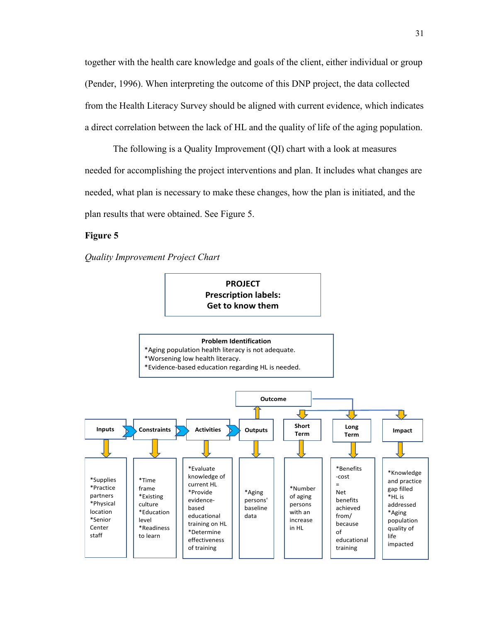together with the health care knowledge and goals of the client, either individual or group (Pender, 1996). When interpreting the outcome of this DNP project, the data collected from the Health Literacy Survey should be aligned with current evidence, which indicates a direct correlation between the lack of HL and the quality of life of the aging population.

The following is a Quality Improvement (QI) chart with a look at measures needed for accomplishing the project interventions and plan. It includes what changes are needed, what plan is necessary to make these changes, how the plan is initiated, and the plan results that were obtained. See Figure 5.

## **Figure 5**



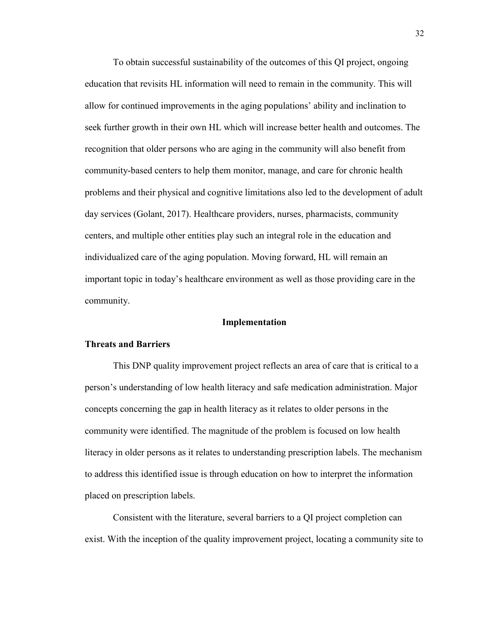To obtain successful sustainability of the outcomes of this QI project, ongoing education that revisits HL information will need to remain in the community. This will allow for continued improvements in the aging populations' ability and inclination to seek further growth in their own HL which will increase better health and outcomes. The recognition that older persons who are aging in the community will also benefit from community-based centers to help them monitor, manage, and care for chronic health problems and their physical and cognitive limitations also led to the development of adult day services (Golant, 2017). Healthcare providers, nurses, pharmacists, community centers, and multiple other entities play such an integral role in the education and individualized care of the aging population. Moving forward, HL will remain an important topic in today's healthcare environment as well as those providing care in the community.

#### **Implementation**

#### **Threats and Barriers**

This DNP quality improvement project reflects an area of care that is critical to a person's understanding of low health literacy and safe medication administration. Major concepts concerning the gap in health literacy as it relates to older persons in the community were identified. The magnitude of the problem is focused on low health literacy in older persons as it relates to understanding prescription labels. The mechanism to address this identified issue is through education on how to interpret the information placed on prescription labels.

Consistent with the literature, several barriers to a QI project completion can exist. With the inception of the quality improvement project, locating a community site to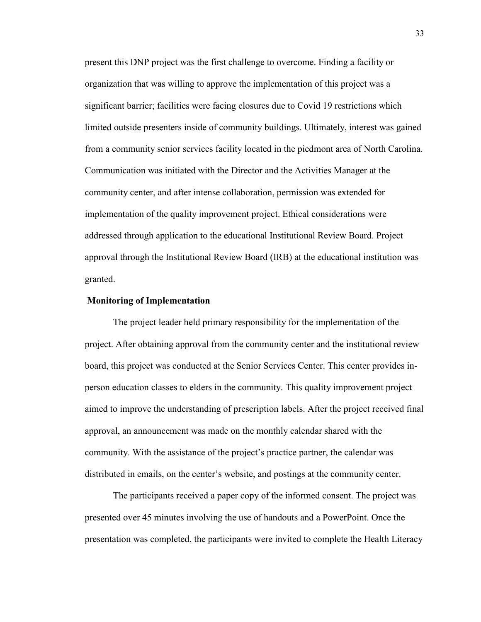present this DNP project was the first challenge to overcome. Finding a facility or organization that was willing to approve the implementation of this project was a significant barrier; facilities were facing closures due to Covid 19 restrictions which limited outside presenters inside of community buildings. Ultimately, interest was gained from a community senior services facility located in the piedmont area of North Carolina. Communication was initiated with the Director and the Activities Manager at the community center, and after intense collaboration, permission was extended for implementation of the quality improvement project. Ethical considerations were addressed through application to the educational Institutional Review Board. Project approval through the Institutional Review Board (IRB) at the educational institution was granted.

#### **Monitoring of Implementation**

The project leader held primary responsibility for the implementation of the project. After obtaining approval from the community center and the institutional review board, this project was conducted at the Senior Services Center. This center provides inperson education classes to elders in the community. This quality improvement project aimed to improve the understanding of prescription labels. After the project received final approval, an announcement was made on the monthly calendar shared with the community. With the assistance of the project's practice partner, the calendar was distributed in emails, on the center's website, and postings at the community center.

The participants received a paper copy of the informed consent. The project was presented over 45 minutes involving the use of handouts and a PowerPoint. Once the presentation was completed, the participants were invited to complete the Health Literacy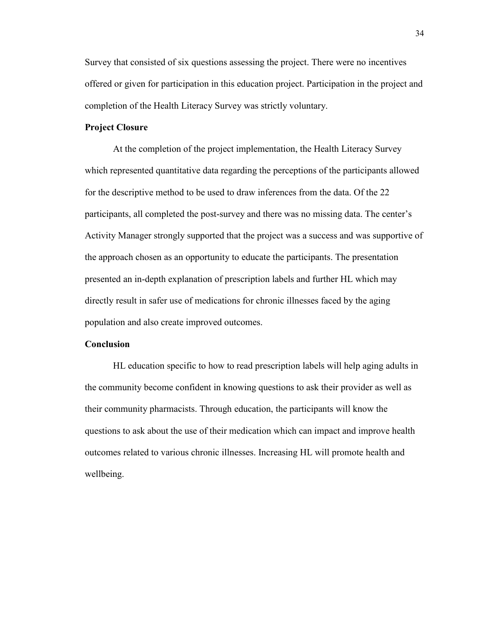Survey that consisted of six questions assessing the project. There were no incentives offered or given for participation in this education project. Participation in the project and completion of the Health Literacy Survey was strictly voluntary.

## **Project Closure**

At the completion of the project implementation, the Health Literacy Survey which represented quantitative data regarding the perceptions of the participants allowed for the descriptive method to be used to draw inferences from the data. Of the 22 participants, all completed the post-survey and there was no missing data. The center's Activity Manager strongly supported that the project was a success and was supportive of the approach chosen as an opportunity to educate the participants. The presentation presented an in-depth explanation of prescription labels and further HL which may directly result in safer use of medications for chronic illnesses faced by the aging population and also create improved outcomes.

#### **Conclusion**

HL education specific to how to read prescription labels will help aging adults in the community become confident in knowing questions to ask their provider as well as their community pharmacists. Through education, the participants will know the questions to ask about the use of their medication which can impact and improve health outcomes related to various chronic illnesses. Increasing HL will promote health and wellbeing.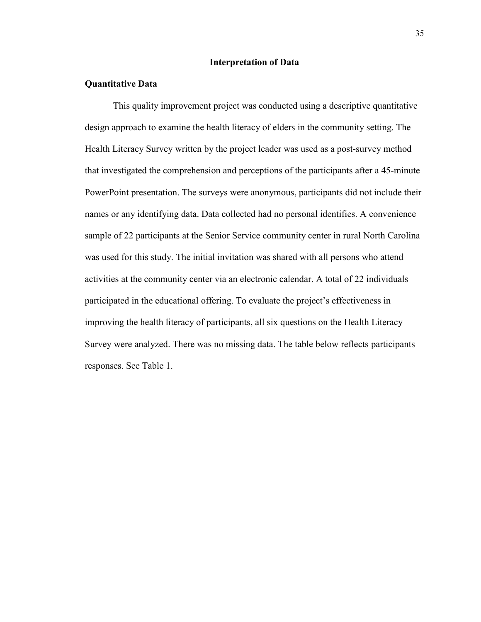### **Interpretation of Data**

## **Quantitative Data**

This quality improvement project was conducted using a descriptive quantitative design approach to examine the health literacy of elders in the community setting. The Health Literacy Survey written by the project leader was used as a post-survey method that investigated the comprehension and perceptions of the participants after a 45-minute PowerPoint presentation. The surveys were anonymous, participants did not include their names or any identifying data. Data collected had no personal identifies. A convenience sample of 22 participants at the Senior Service community center in rural North Carolina was used for this study. The initial invitation was shared with all persons who attend activities at the community center via an electronic calendar. A total of 22 individuals participated in the educational offering. To evaluate the project's effectiveness in improving the health literacy of participants, all six questions on the Health Literacy Survey were analyzed. There was no missing data. The table below reflects participants responses. See Table 1.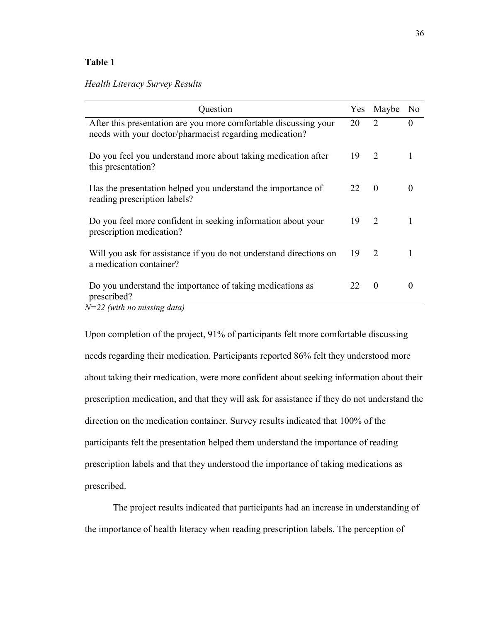## **Table 1**

## *Health Literacy Survey Results*

| Question                                                                                                                    |    | Yes Maybe     | N <sub>0</sub> |
|-----------------------------------------------------------------------------------------------------------------------------|----|---------------|----------------|
| After this presentation are you more comfortable discussing your<br>needs with your doctor/pharmacist regarding medication? | 20 | 2             | $\theta$       |
| Do you feel you understand more about taking medication after<br>this presentation?                                         | 19 | $\mathcal{L}$ |                |
| Has the presentation helped you understand the importance of<br>reading prescription labels?                                | 22 | $\theta$      | $\theta$       |
| Do you feel more confident in seeking information about your<br>prescription medication?                                    | 19 | 2             |                |
| Will you ask for assistance if you do not understand directions on<br>a medication container?                               | 19 | 2             |                |
| Do you understand the importance of taking medications as<br>prescribed?                                                    | 22 | $\Omega$      | $\theta$       |
| $N=22$ (with no missing data)                                                                                               |    |               |                |

Upon completion of the project, 91% of participants felt more comfortable discussing needs regarding their medication. Participants reported 86% felt they understood more about taking their medication, were more confident about seeking information about their prescription medication, and that they will ask for assistance if they do not understand the direction on the medication container. Survey results indicated that 100% of the participants felt the presentation helped them understand the importance of reading prescription labels and that they understood the importance of taking medications as prescribed.

The project results indicated that participants had an increase in understanding of the importance of health literacy when reading prescription labels. The perception of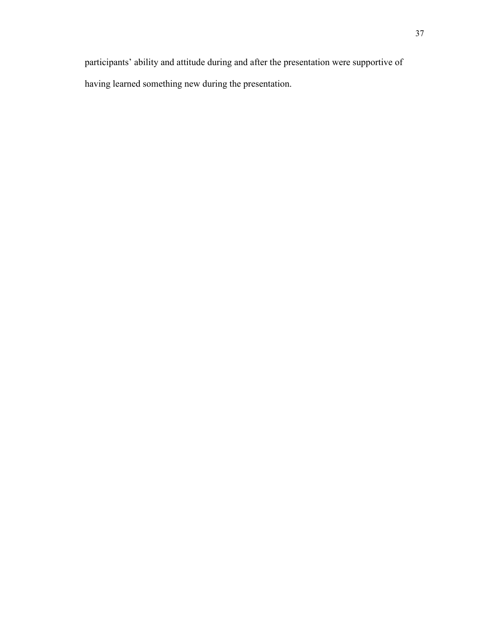participants' ability and attitude during and after the presentation were supportive of having learned something new during the presentation.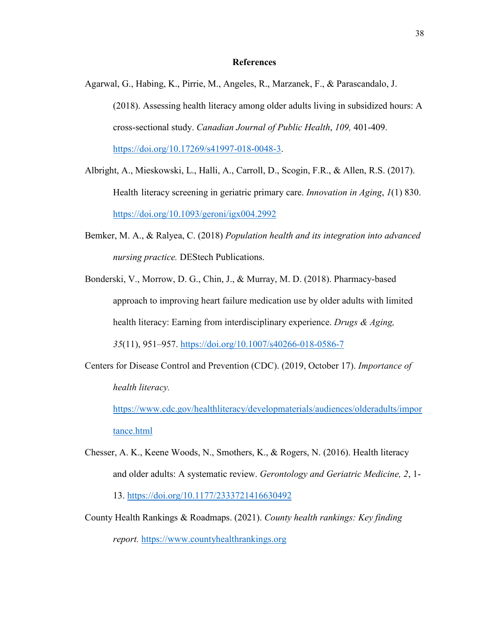#### **References**

- Agarwal, G., Habing, K., Pirrie, M., Angeles, R., Marzanek, F., & Parascandalo, J. (2018). Assessing health literacy among older adults living in subsidized hours: A cross-sectional study. *Canadian Journal of Public Health*, *109,* 401-409. [https://doi.org/10.17269/s41997-018-0048-3.](https://doi.org/10.17269/s41997-018-0048-3)
- [Albright,](https://academic.oup.com/innovateage/search-results?f_Authors=A.+Albright) A., [Mieskowski,](https://academic.oup.com/innovateage/search-results?f_Authors=L.+Mieskowski) L., [Halli,](https://academic.oup.com/innovateage/search-results?f_Authors=A.+Halli) A., [Carroll,](https://academic.oup.com/innovateage/search-results?f_Authors=D.+Carroll) D., [Scogin,](https://academic.oup.com/innovateage/search-results?f_Authors=F.R.+Scogin) F.R., & Allen, R.S. (2017). Health literacy screening in geriatric primary care. *Innovation in Aging*, *1*(1) 830. <https://doi.org/10.1093/geroni/igx004.2992>
- Bemker, M. A., & Ralyea, C. (2018) *Population health and its integration into advanced nursing practice.* DEStech Publications.
- Bonderski, V., Morrow, D. G., Chin, J., & Murray, M. D. (2018). Pharmacy-based approach to improving heart failure medication use by older adults with limited health literacy: Earning from interdisciplinary experience. *Drugs & Aging, 35*(11), 951–957.<https://doi.org/10.1007/s40266-018-0586-7>
- Centers for Disease Control and Prevention (CDC). (2019, October 17). *Importance of health literacy.*

[https://www.cdc.gov/healthliteracy/developmaterials/audiences/olderadults/impor](https://www.cdc.gov/healthliteracy/developmaterials/audiences/olderadults/importance.html) [tance.html](https://www.cdc.gov/healthliteracy/developmaterials/audiences/olderadults/importance.html)

- Chesser, A. K., Keene Woods, N., Smothers, K., & Rogers, N. (2016). Health literacy and older adults: A systematic review. *Gerontology and Geriatric Medicine, 2*, 1- 13. <https://doi.org/10.1177/2333721416630492>
- County Health Rankings & Roadmaps. (2021). *County health rankings: Key finding report.* [https://www.countyhealthrankings.org](https://www.countyhealthrankings.org/)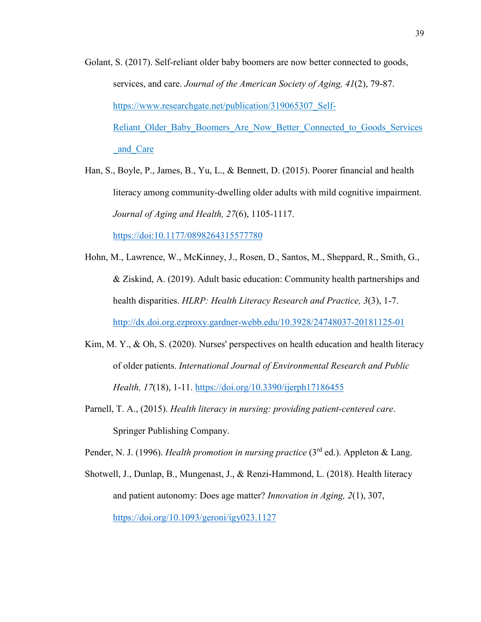- Golant, S. (2017). Self-reliant older baby boomers are now better connected to goods, services, and care. *Journal of the American Society of Aging, 41*(2), 79-87. https://www.researchgate.net/publication/319065307 Self-[Re](ttps://www.researchgate.net/publication/319065307_Self-R)liant\_Older\_Baby\_Boomers\_Are\_Now\_Better\_Connected\_to\_Goods\_Services \_and\_Care
- Han, S., Boyle, P., James, B., Yu, L., & Bennett, D. (2015). Poorer financial and health literacy among community-dwelling older adults with mild cognitive impairment. *Journal of Aging and Health, 27*(6), 1105-1117. <https://doi:10.1177/0898264315577780>
- Hohn, M., Lawrence, W., McKinney, J., Rosen, D., Santos, M., Sheppard, R., Smith, G., & Ziskind, A. (2019). Adult basic education: Community health partnerships and health disparities. *HLRP: Health Literacy Research and Practice, 3*(3), 1-7. <http://dx.doi.org.ezproxy.gardner-webb.edu/10.3928/24748037-20181125-01>
- Kim, M. Y., & Oh, S. (2020). Nurses' perspectives on health education and health literacy of older patients. *International Journal of Environmental Research and Public Health, 17*(18), 1-11.<https://doi.org/10.3390/ijerph17186455>
- Parnell, T. A., (2015). *Health literacy in nursing: providing patient-centered care*. Springer Publishing Company.

Pender, N. J. (1996). *Health promotion in nursing practice* (3<sup>rd</sup> ed.). Appleton & Lang.

Shotwell, J., Dunlap, B., Mungenast, J., & Renzi-Hammond, L. (2018). Health literacy and patient autonomy: Does age matter? *Innovation in Aging, 2*(1), 307, <https://doi.org/10.1093/geroni/igy023.1127>